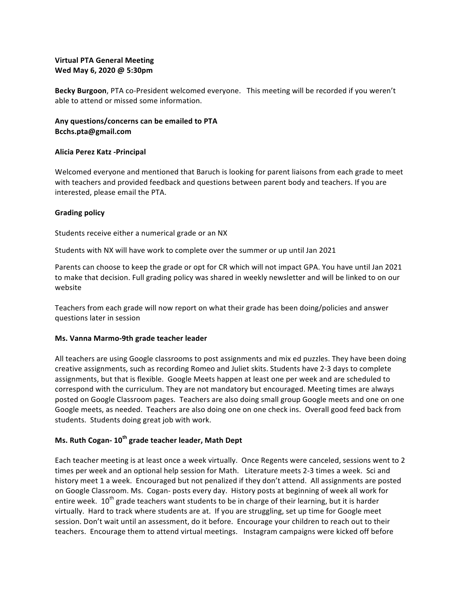## **Virtual PTA General Meeting** Wed May 6, 2020 @ 5:30pm

Becky Burgoon, PTA co-President welcomed everyone. This meeting will be recorded if you weren't able to attend or missed some information.

# Any questions/concerns can be emailed to PTA **Bcchs.pta@gmail.com**

### **Alicia Perez Katz -Principal**

Welcomed everyone and mentioned that Baruch is looking for parent liaisons from each grade to meet with teachers and provided feedback and questions between parent body and teachers. If you are interested, please email the PTA.

### **Grading policy**

Students receive either a numerical grade or an NX

Students with NX will have work to complete over the summer or up until Jan 2021

Parents can choose to keep the grade or opt for CR which will not impact GPA. You have until Jan 2021 to make that decision. Full grading policy was shared in weekly newsletter and will be linked to on our website 

Teachers from each grade will now report on what their grade has been doing/policies and answer questions later in session

### **Ms. Vanna Marmo-9th grade teacher leader**

All teachers are using Google classrooms to post assignments and mix ed puzzles. They have been doing creative assignments, such as recording Romeo and Juliet skits. Students have 2-3 days to complete assignments, but that is flexible. Google Meets happen at least one per week and are scheduled to correspond with the curriculum. They are not mandatory but encouraged. Meeting times are always posted on Google Classroom pages. Teachers are also doing small group Google meets and one on one Google meets, as needed. Teachers are also doing one on one check ins. Overall good feed back from students. Students doing great job with work.

## **Ms. Ruth Cogan- 10th grade teacher leader, Math Dept**

Each teacher meeting is at least once a week virtually. Once Regents were canceled, sessions went to 2 times per week and an optional help session for Math. Literature meets 2-3 times a week. Sci and history meet 1 a week. Encouraged but not penalized if they don't attend. All assignments are posted on Google Classroom. Ms. Cogan- posts every day. History posts at beginning of week all work for entire week.  $10^{th}$  grade teachers want students to be in charge of their learning, but it is harder virtually. Hard to track where students are at. If you are struggling, set up time for Google meet session. Don't wait until an assessment, do it before. Encourage your children to reach out to their teachers. Encourage them to attend virtual meetings. Instagram campaigns were kicked off before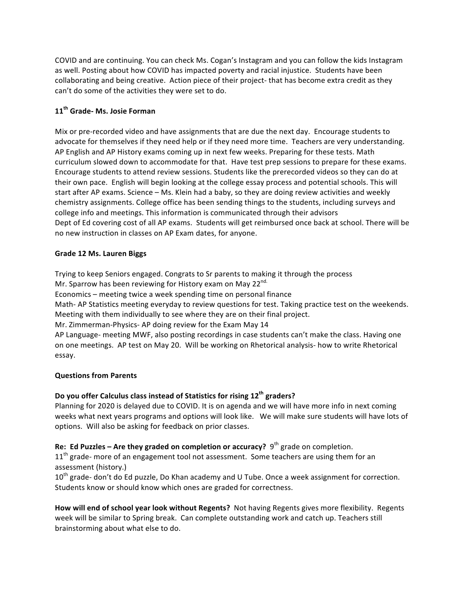COVID and are continuing. You can check Ms. Cogan's Instagram and you can follow the kids Instagram as well. Posting about how COVID has impacted poverty and racial injustice. Students have been collaborating and being creative. Action piece of their project- that has become extra credit as they can't do some of the activities they were set to do.

# **11th Grade- Ms. Josie Forman**

Mix or pre-recorded video and have assignments that are due the next day. Encourage students to advocate for themselves if they need help or if they need more time. Teachers are very understanding. AP English and AP History exams coming up in next few weeks. Preparing for these tests. Math curriculum slowed down to accommodate for that. Have test prep sessions to prepare for these exams. Encourage students to attend review sessions. Students like the prerecorded videos so they can do at their own pace. English will begin looking at the college essay process and potential schools. This will start after AP exams. Science – Ms. Klein had a baby, so they are doing review activities and weekly chemistry assignments. College office has been sending things to the students, including surveys and college info and meetings. This information is communicated through their advisors Dept of Ed covering cost of all AP exams. Students will get reimbursed once back at school. There will be no new instruction in classes on AP Exam dates, for anyone.

## **Grade 12 Ms. Lauren Biggs**

Trying to keep Seniors engaged. Congrats to Sr parents to making it through the process Mr. Sparrow has been reviewing for History exam on May 22 $^{\text{nd.}}$ Economics – meeting twice a week spending time on personal finance Math- AP Statistics meeting everyday to review questions for test. Taking practice test on the weekends. Meeting with them individually to see where they are on their final project. Mr. Zimmerman-Physics- AP doing review for the Exam May 14 AP Language- meeting MWF, also posting recordings in case students can't make the class. Having one on one meetings. AP test on May 20. Will be working on Rhetorical analysis- how to write Rhetorical essay.

# **Questions from Parents**

# **Do** you offer Calculus class instead of Statistics for rising 12<sup>th</sup> graders?

Planning for 2020 is delayed due to COVID. It is on agenda and we will have more info in next coming weeks what next years programs and options will look like. We will make sure students will have lots of options. Will also be asking for feedback on prior classes.

**Re:** Ed Puzzles – Are they graded on completion or accuracy? 9<sup>th</sup> grade on completion.

11<sup>th</sup> grade- more of an engagement tool not assessment. Some teachers are using them for an assessment (history.)

10<sup>th</sup> grade- don't do Ed puzzle, Do Khan academy and U Tube. Once a week assignment for correction. Students know or should know which ones are graded for correctness.

How will end of school year look without Regents? Not having Regents gives more flexibility. Regents week will be similar to Spring break. Can complete outstanding work and catch up. Teachers still brainstorming about what else to do.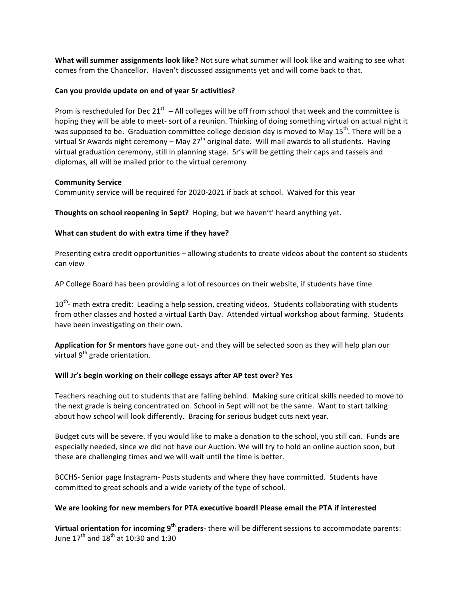**What will summer assignments look like?** Not sure what summer will look like and waiting to see what comes from the Chancellor. Haven't discussed assignments yet and will come back to that.

#### **Can you provide update on end of year Sr activities?**

Prom is rescheduled for Dec  $21^{st}$ . – All colleges will be off from school that week and the committee is hoping they will be able to meet- sort of a reunion. Thinking of doing something virtual on actual night it was supposed to be. Graduation committee college decision day is moved to May 15<sup>th</sup>. There will be a virtual Sr Awards night ceremony – May 27<sup>th</sup> original date. Will mail awards to all students. Having virtual graduation ceremony, still in planning stage. Sr's will be getting their caps and tassels and diplomas, all will be mailed prior to the virtual ceremony

#### **Community Service**

Community service will be required for 2020-2021 if back at school. Waived for this year

**Thoughts on school reopening in Sept?** Hoping, but we haven't' heard anything yet.

### **What can student do with extra time if they have?**

Presenting extra credit opportunities - allowing students to create videos about the content so students can view

AP College Board has been providing a lot of resources on their website, if students have time

 $10<sup>th</sup>$ - math extra credit: Leading a help session, creating videos. Students collaborating with students from other classes and hosted a virtual Earth Day. Attended virtual workshop about farming. Students have been investigating on their own.

Application for Sr mentors have gone out- and they will be selected soon as they will help plan our virtual  $9<sup>th</sup>$  grade orientation.

### Will Jr's begin working on their college essays after AP test over? Yes

Teachers reaching out to students that are falling behind. Making sure critical skills needed to move to the next grade is being concentrated on. School in Sept will not be the same. Want to start talking about how school will look differently. Bracing for serious budget cuts next year.

Budget cuts will be severe. If you would like to make a donation to the school, you still can. Funds are especially needed, since we did not have our Auction. We will try to hold an online auction soon, but these are challenging times and we will wait until the time is better.

BCCHS- Senior page Instagram- Posts students and where they have committed. Students have committed to great schools and a wide variety of the type of school.

### We are looking for new members for PTA executive board! Please email the PTA if interested

**Virtual orientation for incoming 9<sup>th</sup> graders**- there will be different sessions to accommodate parents: June  $17^{\text{th}}$  and  $18^{\text{th}}$  at 10:30 and 1:30